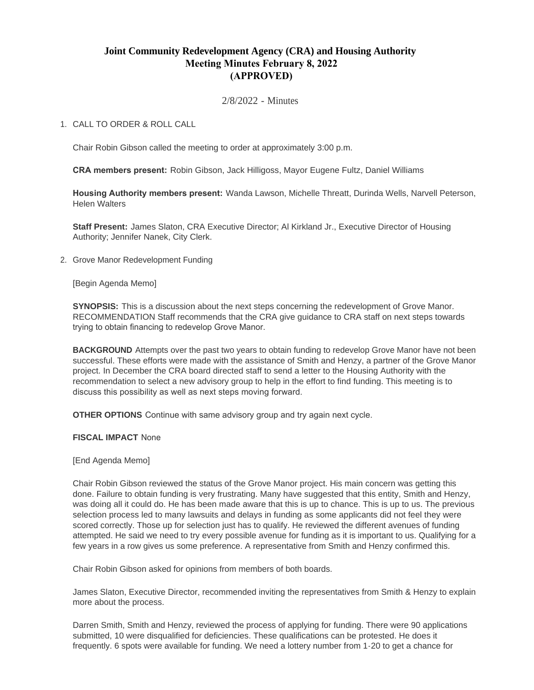## **Joint Community Redevelopment Agency (CRA) and Housing Authority Meeting Minutes February 8, 2022 (APPROVED)**

2/8/2022 - Minutes

## CALL TO ORDER & ROLL CALL 1.

Chair Robin Gibson called the meeting to order at approximately 3:00 p.m.

**CRA members present:** Robin Gibson, Jack Hilligoss, Mayor Eugene Fultz, Daniel Williams

**Housing Authority members present:** Wanda Lawson, Michelle Threatt, Durinda Wells, Narvell Peterson, Helen Walters

**Staff Present:** James Slaton, CRA Executive Director; Al Kirkland Jr., Executive Director of Housing Authority; Jennifer Nanek, City Clerk.

2. Grove Manor Redevelopment Funding

[Begin Agenda Memo]

**SYNOPSIS:** This is a discussion about the next steps concerning the redevelopment of Grove Manor. RECOMMENDATION Staff recommends that the CRA give guidance to CRA staff on next steps towards trying to obtain financing to redevelop Grove Manor.

**BACKGROUND** Attempts over the past two years to obtain funding to redevelop Grove Manor have not been successful. These efforts were made with the assistance of Smith and Henzy, a partner of the Grove Manor project. In December the CRA board directed staff to send a letter to the Housing Authority with the recommendation to select a new advisory group to help in the effort to find funding. This meeting is to discuss this possibility as well as next steps moving forward.

**OTHER OPTIONS** Continue with same advisory group and try again next cycle.

**FISCAL IMPACT** None

[End Agenda Memo]

Chair Robin Gibson reviewed the status of the Grove Manor project. His main concern was getting this done. Failure to obtain funding is very frustrating. Many have suggested that this entity, Smith and Henzy, was doing all it could do. He has been made aware that this is up to chance. This is up to us. The previous selection process led to many lawsuits and delays in funding as some applicants did not feel they were scored correctly. Those up for selection just has to qualify. He reviewed the different avenues of funding attempted. He said we need to try every possible avenue for funding as it is important to us. Qualifying for a few years in a row gives us some preference. A representative from Smith and Henzy confirmed this.

Chair Robin Gibson asked for opinions from members of both boards.

James Slaton, Executive Director, recommended inviting the representatives from Smith & Henzy to explain more about the process.

Darren Smith, Smith and Henzy, reviewed the process of applying for funding. There were 90 applications submitted, 10 were disqualified for deficiencies. These qualifications can be protested. He does it frequently. 6 spots were available for funding. We need a lottery number from 1-20 to get a chance for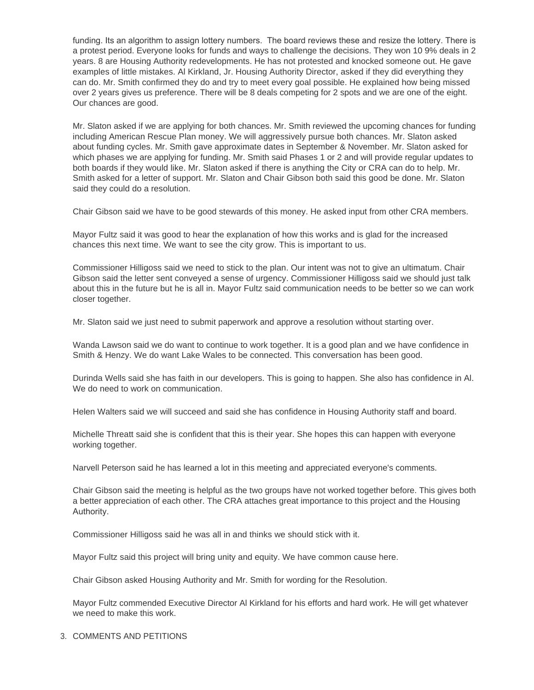funding. Its an algorithm to assign lottery numbers. The board reviews these and resize the lottery. There is a protest period. Everyone looks for funds and ways to challenge the decisions. They won 10 9% deals in 2 years. 8 are Housing Authority redevelopments. He has not protested and knocked someone out. He gave examples of little mistakes. Al Kirkland, Jr. Housing Authority Director, asked if they did everything they can do. Mr. Smith confirmed they do and try to meet every goal possible. He explained how being missed over 2 years gives us preference. There will be 8 deals competing for 2 spots and we are one of the eight. Our chances are good.

Mr. Slaton asked if we are applying for both chances. Mr. Smith reviewed the upcoming chances for funding including American Rescue Plan money. We will aggressively pursue both chances. Mr. Slaton asked about funding cycles. Mr. Smith gave approximate dates in September & November. Mr. Slaton asked for which phases we are applying for funding. Mr. Smith said Phases 1 or 2 and will provide regular updates to both boards if they would like. Mr. Slaton asked if there is anything the City or CRA can do to help. Mr. Smith asked for a letter of support. Mr. Slaton and Chair Gibson both said this good be done. Mr. Slaton said they could do a resolution.

Chair Gibson said we have to be good stewards of this money. He asked input from other CRA members.

Mayor Fultz said it was good to hear the explanation of how this works and is glad for the increased chances this next time. We want to see the city grow. This is important to us.

Commissioner Hilligoss said we need to stick to the plan. Our intent was not to give an ultimatum. Chair Gibson said the letter sent conveyed a sense of urgency. Commissioner Hilligoss said we should just talk about this in the future but he is all in. Mayor Fultz said communication needs to be better so we can work closer together.

Mr. Slaton said we just need to submit paperwork and approve a resolution without starting over.

Wanda Lawson said we do want to continue to work together. It is a good plan and we have confidence in Smith & Henzy. We do want Lake Wales to be connected. This conversation has been good.

Durinda Wells said she has faith in our developers. This is going to happen. She also has confidence in Al. We do need to work on communication.

Helen Walters said we will succeed and said she has confidence in Housing Authority staff and board.

Michelle Threatt said she is confident that this is their year. She hopes this can happen with everyone working together.

Narvell Peterson said he has learned a lot in this meeting and appreciated everyone's comments.

Chair Gibson said the meeting is helpful as the two groups have not worked together before. This gives both a better appreciation of each other. The CRA attaches great importance to this project and the Housing Authority.

Commissioner Hilligoss said he was all in and thinks we should stick with it.

Mayor Fultz said this project will bring unity and equity. We have common cause here.

Chair Gibson asked Housing Authority and Mr. Smith for wording for the Resolution.

Mayor Fultz commended Executive Director Al Kirkland for his efforts and hard work. He will get whatever we need to make this work.

## 3. COMMENTS AND PETITIONS